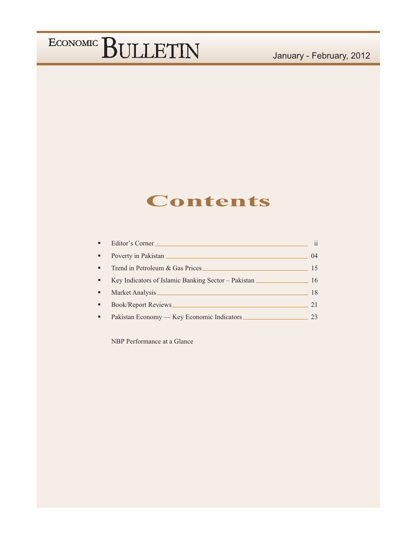## **Contents**

| ×, | Editor's Corner                                       | $\mathbf{ii}$ |
|----|-------------------------------------------------------|---------------|
| ٠  | Poverty in Pakistan                                   | 04            |
| ٠  | Trend in Petroleum & Gas Prices                       | 15            |
| ٠  | Key Indicators of Islamic Banking Sector – Pakistan — | 16            |
| ٠  | Market Analysis                                       | 18            |
| ٠  | <b>Book/Report Reviews</b>                            | 21            |
| ٠  | Pakistan Economy — Key Economic Indicators            | 23            |

NBP Performance at a Glance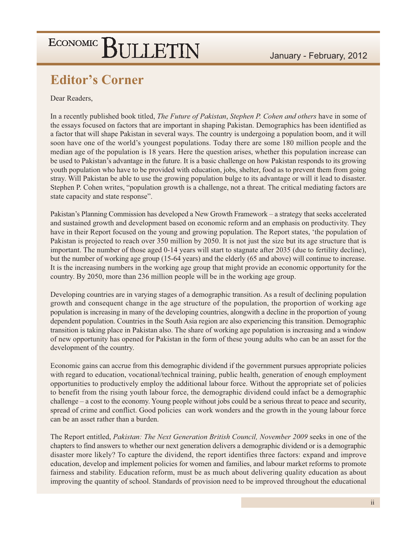### **Editor's Corner**

### Dear Readers,

In a recently published book titled, The Future of Pakistan, Stephen P. Cohen and others have in some of the essays focused on factors that are important in shaping Pakistan. Demographics has been identified as a factor that will shape Pakistan in several ways. The country is undergoing a population boom, and it will soon have one of the world's youngest populations. Today there are some 180 million people and the median age of the population is 18 years. Here the question arises, whether this population increase can be used to Pakistan's advantage in the future. It is a basic challenge on how Pakistan responds to its growing youth population who have to be provided with education, jobs, shelter, food as to prevent them from going stray. Will Pakistan be able to use the growing population bulge to its advantage or will it lead to disaster. Stephen P. Cohen writes, "population growth is a challenge, not a threat. The critical mediating factors are state capacity and state response".

Pakistan's Planning Commission has developed a New Growth Framework – a strategy that seeks accelerated and sustained growth and development based on economic reform and an emphasis on productivity. They have in their Report focused on the young and growing population. The Report states, 'the population of Pakistan is projected to reach over 350 million by 2050. It is not just the size but its age structure that is important. The number of those aged 0-14 years will start to stagnate after 2035 (due to fertility decline), but the number of working age group (15-64 years) and the elderly (65 and above) will continue to increase. It is the increasing numbers in the working age group that might provide an economic opportunity for the country. By 2050, more than 236 million people will be in the working age group.

Developing countries are in varying stages of a demographic transition. As a result of declining population growth and consequent change in the age structure of the population, the proportion of working age population is increasing in many of the developing countries, alongwith a decline in the proportion of young dependent population. Countries in the South Asia region are also experiencing this transition. Demographic transition is taking place in Pakistan also. The share of working age population is increasing and a window of new opportunity has opened for Pakistan in the form of these young adults who can be an asset for the development of the country.

Economic gains can accrue from this demographic dividend if the government pursues appropriate policies with regard to education, vocational/technical training, public health, generation of enough employment opportunities to productively employ the additional labour force. Without the appropriate set of policies to benefit from the rising youth labour force, the demographic dividend could infact be a demographic challenge  $-$  a cost to the economy. Young people without jobs could be a serious threat to peace and security, spread of crime and conflict. Good policies can work wonders and the growth in the young labour force can be an asset rather than a burden.

The Report entitled, Pakistan: The Next Generation British Council, November 2009 seeks in one of the chapters to find answers to whether our next generation delivers a demographic dividend or is a demographic disaster more likely? To capture the dividend, the report identifies three factors: expand and improve education, develop and implement policies for women and families, and labour market reforms to promote fairness and stability. Education reform, must be as much about delivering quality education as about improving the quantity of school. Standards of provision need to be improved throughout the educational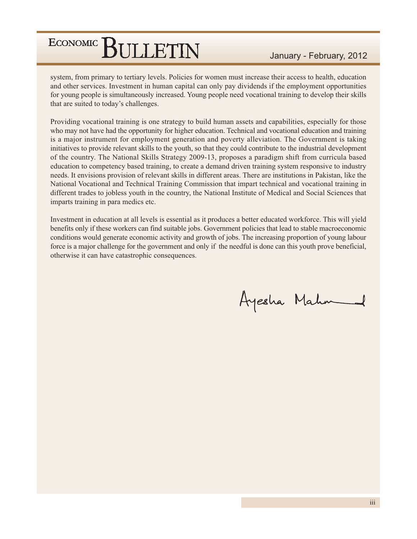system, from primary to tertiary levels. Policies for women must increase their access to health, education and other services. Investment in human capital can only pay dividends if the employment opportunities for young people is simultaneously increased. Young people need vocational training to develop their skills that are suited to today's challenges.

Providing vocational training is one strategy to build human assets and capabilities, especially for those who may not have had the opportunity for higher education. Technical and vocational education and training is a major instrument for employment generation and poverty alleviation. The Government is taking initiatives to provide relevant skills to the youth, so that they could contribute to the industrial development of the country. The National Skills Strategy 2009-13, proposes a paradigm shift from curricula based education to competency based training, to create a demand driven training system responsive to industry needs. It envisions provision of relevant skills in different areas. There are institutions in Pakistan, like the National Vocational and Technical Training Commission that impart technical and vocational training in different trades to jobless youth in the country, the National Institute of Medical and Social Sciences that imparts training in para medics etc.

Investment in education at all levels is essential as it produces a better educated workforce. This will yield benefits only if these workers can find suitable jobs. Government policies that lead to stable macroeconomic conditions would generate economic activity and growth of jobs. The increasing proportion of young labour force is a major challenge for the government and only if the needful is done can this youth prove beneficial, otherwise it can have catastrophic consequences.

Ayesha Mahm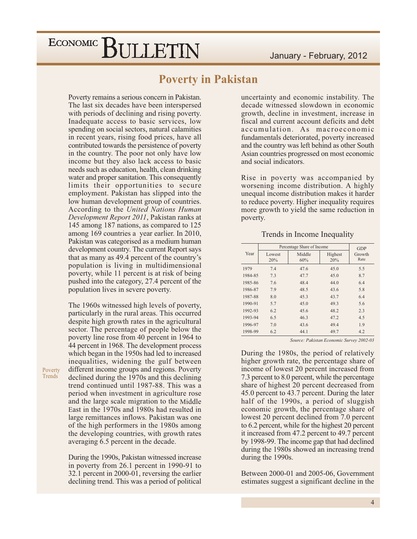### **Poverty in Pakistan**

Poverty remains a serious concern in Pakistan. The last six decades have been interspersed with periods of declining and rising poverty. Inadequate access to basic services, low spending on social sectors, natural calamities in recent years, rising food prices, have all contributed towards the persistence of poverty in the country. The poor not only have low income but they also lack access to basic needs such as education, health, clean drinking water and proper sanitation. This consequently limits their opportunities to secure employment. Pakistan has slipped into the low human development group of countries. According to the United Nations Human Development Report 2011, Pakistan ranks at 145 among 187 nations, as compared to 125 among 169 countries a year earlier. In 2010, Pakistan was categorised as a medium human development country. The current Report says that as many as 49.4 percent of the country's population is living in multidimensional poverty, while 11 percent is at risk of being pushed into the category, 27.4 percent of the population lives in severe poverty.

The 1960s witnessed high levels of poverty, particularly in the rural areas. This occurred despite high growth rates in the agricultural sector. The percentage of people below the poverty line rose from 40 percent in 1964 to 44 percent in 1968. The development process which began in the 1950s had led to increased inequalities, widening the gulf between different income groups and regions. Poverty declined during the 1970s and this declining trend continued until 1987-88. This was a period when investment in agriculture rose and the large scale migration to the Middle East in the 1970s and 1980s had resulted in large remittances inflows. Pakistan was one of the high performers in the 1980s among the developing countries, with growth rates averaging 6.5 percent in the decade.

During the 1990s, Pakistan witnessed increase in poverty from 26.1 percent in 1990-91 to 32.1 percent in 2000-01, reversing the earlier declining trend. This was a period of political

uncertainty and economic instability. The decade witnessed slowdown in economic growth, decline in investment, increase in fiscal and current account deficits and debt accumulation. As macroeconomic fundamentals deteriorated, poverty increased and the country was left behind as other South Asian countries progressed on most economic and social indicators.

Rise in poverty was accompanied by worsening income distribution. A highly unequal income distribution makes it harder to reduce poverty. Higher inequality requires more growth to yield the same reduction in poverty.

#### Trends in Income Inequality

|         |               | Percentage Share of Income |                | <b>GDP</b>     |  |
|---------|---------------|----------------------------|----------------|----------------|--|
| Year    | Lowest<br>20% | Middle<br>60%              | Highest<br>20% | Growth<br>Rate |  |
| 1979    | 7.4           | 47.6                       | 45.0           | 5.5            |  |
| 1984-85 | 7.3           | 47.7                       | 45.0           | 8.7            |  |
| 1985-86 | 7.6           | 48.4                       | 44.0           | 6.4            |  |
| 1986-87 | 7.9           | 48.5                       | 43.6           | 5.8            |  |
| 1987-88 | 8.0           | 45.3                       | 43.7           | 6.4            |  |
| 1990-91 | 5.7           | 45.0                       | 49.3           | 5.6            |  |
| 1992-93 | 6.2           | 45.6                       | 48.2           | 2.3            |  |
| 1993-94 | 6.5           | 46.3                       | 47.2           | 4.5            |  |
| 1996-97 | 7.0           | 43.6                       | 49.4           | 1.9            |  |
| 1998-99 | 6.2           | 44.1                       | 49.7           | 4.2            |  |

Source: Pakistan Economic Survey 2002-03

During the 1980s, the period of relatively higher growth rate, the percentage share of income of lowest 20 percent increased from 7.3 percent to 8.0 percent, while the percentage share of highest 20 percent decreased from 45.0 percent to 43.7 percent. During the later half of the 1990s, a period of sluggish economic growth, the percentage share of lowest 20 percent declined from 7.0 percent to 6.2 percent, while for the highest 20 percent it increased from 47.2 percent to 49.7 percent by 1998-99. The income gap that had declined during the 1980s showed an increasing trend during the 1990s.

Between 2000-01 and 2005-06, Government estimates suggest a significant decline in the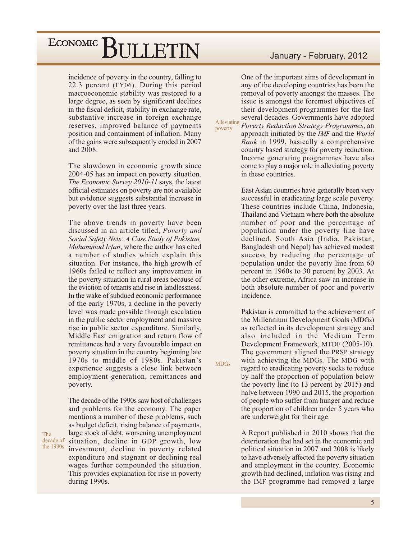incidence of poverty in the country, falling to 22.3 percent (FY06). During this period macroeconomic stability was restored to a large degree, as seen by significant declines in the fiscal deficit, stability in exchange rate, substantive increase in foreign exchange reserves, improved balance of payments position and containment of inflation. Many of the gains were subsequently eroded in 2007 and 2008.

The slowdown in economic growth since 2004-05 has an impact on poverty situation. The Economic Survey 2010-11 says, the latest official estimates on poverty are not available but evidence suggests substantial increase in poverty over the last three years.

The above trends in poverty have been discussed in an article titled, Poverty and Social Safety Nets: A Case Study of Pakistan, Muhammad Irfan, where the author has cited a number of studies which explain this situation. For instance, the high growth of 1960s failed to reflect any improvement in the poverty situation in rural areas because of the eviction of tenants and rise in landlessness. In the wake of subdued economic performance of the early 1970s, a decline in the poverty level was made possible through escalation in the public sector employment and massive rise in public sector expenditure. Similarly, Middle East emigration and return flow of remittances had a very favourable impact on poverty situation in the country beginning late 1970s to middle of 1980s. Pakistan's experience suggests a close link between employment generation, remittances and poverty.

The decade of the 1990s saw host of challenges and problems for the economy. The paper mentions a number of these problems, such as budget deficit, rising balance of payments, large stock of debt, worsening unemployment decade of situation, decline in GDP growth, low the 1990s investment, decline in poverty related expenditure and stagnant or declining real wages further compounded the situation. This provides explanation for rise in poverty during 1990s.

The

### January - February, 2012

One of the important aims of development in any of the developing countries has been the removal of poverty amongst the masses. The issue is amongst the foremost objectives of their development programmes for the last several decades. Governments have adopted

Alleviating poverty

**MDGs** 

Poverty Reduction Strategy Programmes, an approach initiated by the *IMF* and the *World* Bank in 1999, basically a comprehensive country based strategy for poverty reduction. Income generating programmes have also come to play a major role in alleviating poverty in these countries.

East Asian countries have generally been very successful in eradicating large scale poverty. These countries include China, Indonesia, Thailand and Vietnam where both the absolute number of poor and the percentage of population under the poverty line have declined. South Asia (India, Pakistan, Bangladesh and Nepal) has achieved modest success by reducing the percentage of population under the poverty line from 60 percent in 1960s to 30 percent by 2003. At the other extreme, Africa saw an increase in both absolute number of poor and poverty incidence.

Pakistan is committed to the achievement of the Millennium Development Goals (MDGs) as reflected in its development strategy and also included in the Medium Term Development Framework, MTDF (2005-10). The government aligned the PRSP strategy with achieving the MDGs. The MDG with regard to eradicating poverty seeks to reduce by half the proportion of population below the poverty line (to 13 percent by 2015) and halve between 1990 and 2015, the proportion of people who suffer from hunger and reduce the proportion of children under 5 years who are underweight for their age.

A Report published in 2010 shows that the deterioration that had set in the economic and political situation in 2007 and 2008 is likely to have adversely affected the poverty situation and employment in the country. Economic growth had declined, inflation was rising and the IMF programme had removed a large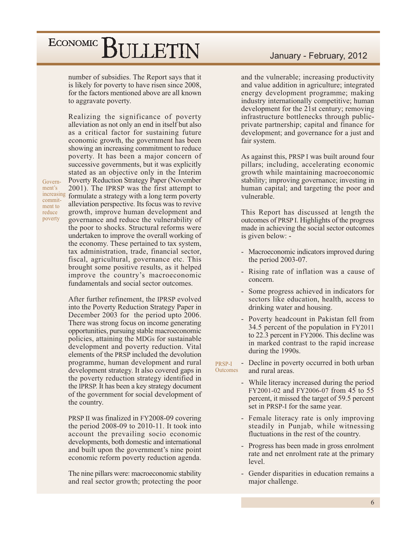number of subsidies. The Report says that it is likely for poverty to have risen since 2008, for the factors mentioned above are all known to aggravate poverty.

Government's commitment to reduce poverty

Realizing the significance of poverty alleviation as not only an end in itself but also as a critical factor for sustaining future economic growth, the government has been showing an increasing commitment to reduce poverty. It has been a major concern of successive governments, but it was explicitly stated as an objective only in the Interim **Poverty Reduction Strategy Paper (November)** 2001). The IPRSP was the first attempt to increasing formulate a strategy with a long term poverty alleviation perspective. Its focus was to revive growth, improve human development and governance and reduce the vulnerability of the poor to shocks. Structural reforms were undertaken to improve the overall working of the economy. These pertained to tax system, tax administration, trade, financial sector, fiscal, agricultural, governance etc. This brought some positive results, as it helped improve the country's macroeconomic fundamentals and social sector outcomes.

> After further refinement, the IPRSP evolved into the Poverty Reduction Strategy Paper in December 2003 for the period upto 2006. There was strong focus on income generating opportunities, pursuing stable macroeconomic policies, attaining the MDGs for sustainable development and poverty reduction. Vital elements of the PRSP included the devolution programme, human development and rural development strategy. It also covered gaps in the poverty reduction strategy identified in the IPRSP. It has been a key strategy document of the government for social development of the country.

> PRSP II was finalized in FY2008-09 covering the period  $2008-09$  to  $2010-11$ . It took into account the prevailing socio economic developments, both domestic and international and built upon the government's nine point economic reform poverty reduction agenda.

> The nine pillars were: macroeconomic stability and real sector growth; protecting the poor

and the vulnerable; increasing productivity and value addition in agriculture; integrated energy development programme; making industry internationally competitive; human development for the 21st century; removing infrastructure bottlenecks through publicprivate partnership; capital and finance for development; and governance for a just and fair system.

As against this, PRSP I was built around four pillars; including, accelerating economic growth while maintaining macroeconomic stability; improving governance; investing in human capital; and targeting the poor and vulnerable

This Report has discussed at length the outcomes of PRSP I. Highlights of the progress made in achieving the social sector outcomes is given below: -

- $\omega$ Macroeconomic indicators improved during the period  $2003-07$ .
- Rising rate of inflation was a cause of concern.
- Some progress achieved in indicators for sectors like education, health, access to drinking water and housing.
- Poverty headcount in Pakistan fell from 34.5 percent of the population in FY2011 to 22.3 percent in FY2006. This decline was in marked contrast to the rapid increase during the 1990s.

Decline in poverty occurred in both urban  $\overline{\phantom{a}}$ PRSP-I Outcomes and rural areas.

- While literacy increased during the period FY2001-02 and FY2006-07 from 45 to 55 percent, it missed the target of 59.5 percent set in PRSP-I for the same year.
- Female literacy rate is only improving steadily in Punjab, while witnessing fluctuations in the rest of the country.
- Progress has been made in gross enrolment rate and net enrolment rate at the primary level.
- Gender disparities in education remains a major challenge.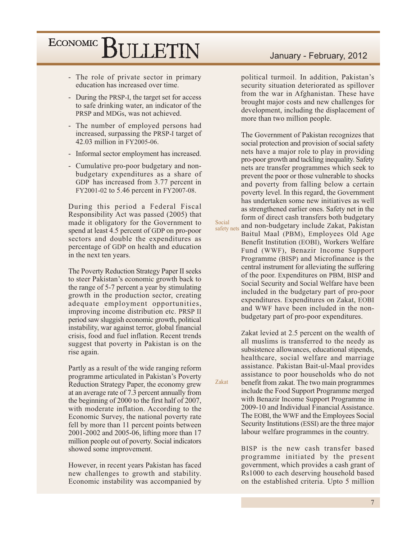- The role of private sector in primary education has increased over time.
- During the PRSP-I, the target set for access to safe drinking water, an indicator of the PRSP and MDGs, was not achieved.
- The number of employed persons had increased, surpassing the PRSP-I target of 42.03 million in FY2005-06.
- Informal sector employment has increased.
- Cumulative pro-poor budgetary and nonbudgetary expenditures as a share of GDP has increased from 3.77 percent in FY2001-02 to 5.46 percent in FY2007-08.

During this period a Federal Fiscal Responsibility Act was passed (2005) that made it obligatory for the Government to spend at least 4.5 percent of GDP on pro-poor sectors and double the expenditures as percentage of GDP on health and education in the next ten years.

The Poverty Reduction Strategy Paper II seeks to steer Pakistan's economic growth back to the range of 5-7 percent a year by stimulating growth in the production sector, creating adequate employment opportunities, improving income distribution etc. PRSP II period saw sluggish economic growth, political instability, war against terror, global financial crisis, food and fuel inflation. Recent trends suggest that poverty in Pakistan is on the rise again.

Partly as a result of the wide ranging reform programme articulated in Pakistan's Poverty Reduction Strategy Paper, the economy grew at an average rate of 7.3 percent annually from the beginning of 2000 to the first half of 2007, with moderate inflation. According to the Economic Survey, the national poverty rate fell by more than 11 percent points between 2001-2002 and 2005-06, lifting more than 17 million people out of poverty. Social indicators showed some improvement.

However, in recent years Pakistan has faced new challenges to growth and stability. Economic instability was accompanied by

political turmoil. In addition, Pakistan's security situation deteriorated as spillover from the war in Afghanistan. These have brought major costs and new challenges for development, including the displacement of more than two million people.

The Government of Pakistan recognizes that social protection and provision of social safety nets have a major role to play in providing pro-poor growth and tackling inequality. Safety nets are transfer programmes which seek to prevent the poor or those vulnerable to shocks and poverty from falling below a certain poverty level. In this regard, the Government has undertaken some new initiatives as well as strengthened earlier ones. Safety net in the form of direct cash transfers both budgetary and non-budgetary include Zakat, Pakistan safety nets Baitul Maal (PBM), Employees Old Age Benefit Institution (EOBI), Workers Welfare Fund (WWF), Benazir Income Support Programme (BISP) and Microfinance is the central instrument for alleviating the suffering of the poor. Expenditures on PBM, BISP and Social Security and Social Welfare have been included in the budgetary part of pro-poor expenditures. Expenditures on Zakat, EOBI and WWF have been included in the nonbudgetary part of pro-poor expenditures.

Social

Zakat

Zakat levied at 2.5 percent on the wealth of all muslims is transferred to the needy as subsistence allowances, educational stipends, healthcare, social welfare and marriage assistance. Pakistan Bait-ul-Maal provides assistance to poor households who do not benefit from zakat. The two main programmes include the Food Support Programme merged with Benazir Income Support Programme in 2009-10 and Individual Financial Assistance. The EOBI, the WWF and the Employees Social Security Institutions (ESSI) are the three major labour welfare programmes in the country.

BISP is the new cash transfer based programme initiated by the present government, which provides a cash grant of Rs1000 to each deserving household based on the established criteria. Upto 5 million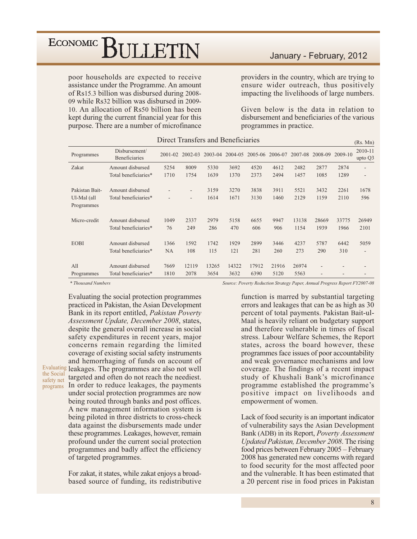poor households are expected to receive assistance under the Programme. An amount of Rs15.3 billion was disbursed during 2008-09 while Rs32 billion was disbursed in 2009-10. An allocation of Rs50 billion has been kept during the current financial year for this purpose. There are a number of microfinance

### January - February, 2012

providers in the country, which are trying to ensure wider outreach, thus positively impacting the livelihoods of large numbers.

Given below is the data in relation to disbursement and beneficiaries of the various programmes in practice.

|                                             |                                          | риссе папятего ана репенските |             |              |              |              |              |              |              |              | (Rs. Mn)           |
|---------------------------------------------|------------------------------------------|-------------------------------|-------------|--------------|--------------|--------------|--------------|--------------|--------------|--------------|--------------------|
| Programmes                                  | Disbursement/<br><b>Beneficiaries</b>    | $2001 - 02$                   | 2002-03     | 2003-04      | 2004-05      | 2005-06      | 2006-07      | 2007-08      | 2008-09      | 2009-10      | 2010-11<br>upto Q3 |
| Zakat                                       | Amount disbursed                         | 5254                          | 8009        | 5330         | 3692         | 4520         | 4612         | 2482         | 2877         | 2874         | ٠                  |
|                                             | Total beneficiaries*                     | 1710                          | 1754        | 1639         | 1370         | 2373         | 2494         | 1457         | 1085         | 1289         | ٠                  |
| Pakistan Bait-<br>Ul-Mal (all<br>Programmes | Amount disbursed<br>Total beneficiaries* | ٠<br>٠                        |             | 3159<br>1614 | 3270<br>1671 | 3838<br>3130 | 3911<br>1460 | 5521<br>2129 | 3432<br>1159 | 2261<br>2110 | 1678<br>596        |
| Micro-credit                                | Amount disbursed                         | 1049                          | 2337        | 2979         | 5158         | 6655         | 9947         | 13138        | 28669        | 33775        | 26949              |
|                                             | Total beneficiaries*                     | 76                            | 249         | 286          | 470          | 606          | 906          | 1154         | 1939         | 1966         | 2101               |
| <b>EOBI</b>                                 | Amount disbursed<br>Total beneficiaries* | 1366<br><b>NA</b>             | 1592<br>108 | 1742<br>115  | 1929<br>121  | 2899<br>281  | 3446<br>260  | 4237<br>273  | 5787<br>290  | 6442<br>310  | 5059<br>٠          |
| All                                         | Amount disbursed                         | 7669                          | 12119       | 13265        | 14322        | 17912        | 21916        | 26974        | ٠            |              |                    |
| Programmes                                  | Total beneficiaries*                     | 1810                          | 2078        | 3654         | 3632         | 6390         | 5120         | 5563         |              |              |                    |

### Direct Transfers and Beneficiaries

\* Thousand Numbers

the Social

Evaluating the social protection programmes practiced in Pakistan, the Asian Development Bank in its report entitled, Pakistan Poverty Assessment Update, December 2008, states, despite the general overall increase in social safety expenditures in recent years, major concerns remain regarding the limited coverage of existing social safety instruments and hemorrhaging of funds on account of Evaluating leakages. The programmes are also not well safety net targeted and often do not reach the neediest. programs In order to reduce leakages, the payments under social protection programmes are now being routed through banks and post offices. A new management information system is being piloted in three districts to cross-check data against the disbursements made under these programmes. Leakages, however, remain profound under the current social protection programmes and badly affect the efficiency

> For zakat, it states, while zakat enjoys a broadbased source of funding, its redistributive

of targeted programmes.

Source: Poverty Reduction Strategy Paper, Annual Progress Report FY2007-08

function is marred by substantial targeting errors and leakages that can be as high as 30 percent of total payments. Pakistan Bait-ul-Maal is heavily reliant on budgetary support and therefore vulnerable in times of fiscal stress. Labour Welfare Schemes, the Report states, across the board however, these programmes face issues of poor accountability and weak governance mechanisms and low coverage. The findings of a recent impact study of Khushali Bank's microfinance programme established the programme's positive impact on livelihoods and empowerment of women.

Lack of food security is an important indicator of vulnerability says the Asian Development Bank (ADB) in its Report, Poverty Assessment Updated Pakistan, December 2008. The rising food prices between February 2005 - February 2008 has generated new concerns with regard to food security for the most affected poor and the vulnerable. It has been estimated that a 20 percent rise in food prices in Pakistan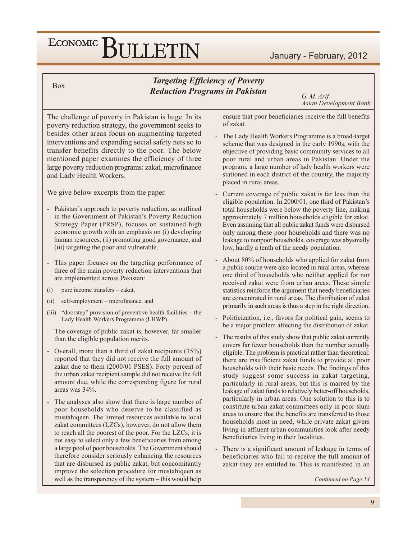### January - February, 2012

**Box** 

### **Targeting Efficiency of Poverty Reduction Programs in Pakistan**

G. M. Arif **Asian Development Bank** 

The challenge of poverty in Pakistan is huge. In its poverty reduction strategy, the government seeks to besides other areas focus on augmenting targeted interventions and expanding social safety nets so to transfer benefits directly to the poor. The below mentioned paper examines the efficiency of three large poverty reduction programs: zakat, microfinance and Lady Health Workers.

We give below excerpts from the paper.

- Pakistan's approach to poverty reduction, as outlined in the Government of Pakistan's Poverty Reduction Strategy Paper (PRSP), focuses on sustained high economic growth with an emphasis on (i) developing human resources, (ii) promoting good governance, and (iii) targeting the poor and vulnerable.
- This paper focuses on the targeting performance of three of the main poverty reduction interventions that are implemented across Pakistan:
- $(i)$ pure income transfers - zakat,
- self-employment microfinance, and  $(ii)$
- $(iii)$  "doorstep" provision of preventive health facilities the Lady Health Workers Programme (LHWP).
- The coverage of public zakat is, however, far smaller than the eligible population merits.
- Overall, more than a third of zakat recipients (35%) reported that they did not receive the full amount of zakat due to them (2000/01 PSES). Forty percent of the urban zakat recipient sample did not receive the full amount due, while the corresponding figure for rural areas was 34%.
- The analyses also show that there is large number of poor households who deserve to be classified as mustahiqeen. The limited resources available to local zakat committees (LZCs), however, do not allow them to reach all the poorest of the poor. For the LZCs, it is not easy to select only a few beneficiaries from among a large pool of poor households. The Government should therefore consider seriously enhancing the resources that are disbursed as public zakat, but concomitantly improve the selection procedure for mustahiqeen as well as the transparency of the system - this would help

ensure that poor beneficiaries receive the full benefits of zakat.

- The Lady Health Workers Programme is a broad-target scheme that was designed in the early 1990s, with the objective of providing basic community services to all poor rural and urban areas in Pakistan. Under the program, a large number of lady health workers were stationed in each district of the country, the majority placed in rural areas.
- Current coverage of public zakat is far less than the eligible population. In 2000/01, one third of Pakistan's total households were below the poverty line, making approximately 7 million households eligible for zakat. Even assuming that all public zakat funds were disbursed only among these poor households and there was no leakage to nonpoor households, coverage was abysmally low, hardly a tenth of the needy population.
- About 80% of households who applied for zakat from a public source were also located in rural areas, whereas one third of households who neither applied for nor received zakat were from urban areas. These simple statistics reinforce the argument that needy beneficiaries are concentrated in rural areas. The distribution of zakat primarily in such areas is thus a step in the right direction.
- Politicization, i.e., favors for political gain, seems to be a major problem affecting the distribution of zakat.
- The results of this study show that public zakat currently covers far fewer households than the number actually eligible. The problem is practical rather than theoretical: there are insufficient zakat funds to provide all poor households with their basic needs. The findings of this study suggest some success in zakat targeting, particularly in rural areas, but this is marred by the leakage of zakat funds to relatively better-off households, particularly in urban areas. One solution to this is to constitute urban zakat committees only in poor slum areas to ensure that the benefits are transferred to those households most in need, while private zakat givers living in affluent urban communities look after needy beneficiaries living in their localities.
- There is a significant amount of leakage in terms of beneficiaries who fail to receive the full amount of zakat they are entitled to. This is manifested in an

Continued on Page 14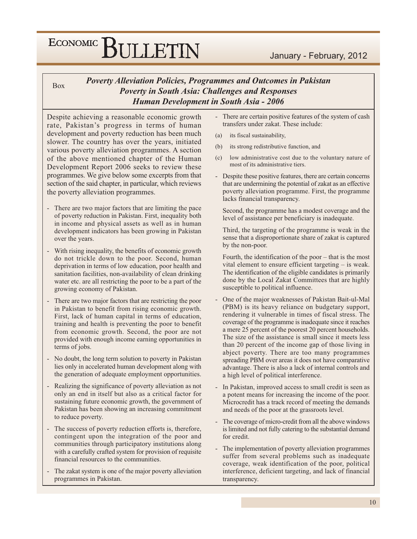**Box** 

### **Poverty Alleviation Policies, Programmes and Outcomes in Pakistan Poverty in South Asia: Challenges and Responses Human Development in South Asia - 2006**

Despite achieving a reasonable economic growth rate, Pakistan's progress in terms of human development and poverty reduction has been much slower. The country has over the years, initiated various poverty alleviation programmes. A section of the above mentioned chapter of the Human Development Report 2006 seeks to review these programmes. We give below some excerpts from that section of the said chapter, in particular, which reviews the poverty alleviation programmes.

- There are two major factors that are limiting the pace of poverty reduction in Pakistan. First, inequality both in income and physical assets as well as in human development indicators has been growing in Pakistan over the years.
- With rising inequality, the benefits of economic growth do not trickle down to the poor. Second, human deprivation in terms of low education, poor health and sanitation facilities, non-availability of clean drinking water etc. are all restricting the poor to be a part of the growing economy of Pakistan.
- There are two major factors that are restricting the poor in Pakistan to benefit from rising economic growth. First, lack of human capital in terms of education, training and health is preventing the poor to benefit from economic growth. Second, the poor are not provided with enough income earning opportunities in terms of jobs.
- No doubt, the long term solution to poverty in Pakistan lies only in accelerated human development along with the generation of adequate employment opportunities.
- Realizing the significance of poverty alleviation as not only an end in itself but also as a critical factor for sustaining future economic growth, the government of Pakistan has been showing an increasing commitment to reduce poverty.
- The success of poverty reduction efforts is, therefore, contingent upon the integration of the poor and communities through participatory institutions along with a carefully crafted system for provision of requisite financial resources to the communities.
- The zakat system is one of the major poverty alleviation programmes in Pakistan.
- There are certain positive features of the system of cash transfers under zakat. These include:
- its fiscal sustainability,  $(a)$
- $(b)$ its strong redistributive function, and
- low administrative cost due to the voluntary nature of  $(c)$ most of its administrative tiers.
- Despite these positive features, there are certain concerns that are undermining the potential of zakat as an effective poverty alleviation programme. First, the programme lacks financial transparency.

Second, the programme has a modest coverage and the level of assistance per beneficiary is inadequate.

Third, the targeting of the programme is weak in the sense that a disproportionate share of zakat is captured by the non-poor.

Fourth, the identification of the poor – that is the most vital element to ensure efficient targeting – is weak. The identification of the eligible candidates is primarily done by the Local Zakat Committees that are highly susceptible to political influence.

- One of the major weaknesses of Pakistan Bait-ul-Mal (PBM) is its heavy reliance on budgetary support, rendering it vulnerable in times of fiscal stress. The coverage of the programme is inadequate since it reaches a mere 25 percent of the poorest 20 percent households. The size of the assistance is small since it meets less than 20 percent of the income gap of those living in abject poverty. There are too many programmes spreading PBM over areas it does not have comparative advantage. There is also a lack of internal controls and a high level of political interference.
- In Pakistan, improved access to small credit is seen as a potent means for increasing the income of the poor. Microcredit has a track record of meeting the demands and needs of the poor at the grassroots level.
- The coverage of micro-credit from all the above windows is limited and not fully catering to the substantial demand for credit.
- The implementation of poverty alleviation programmes suffer from several problems such as inadequate coverage, weak identification of the poor, political interference, deficient targeting, and lack of financial transparency.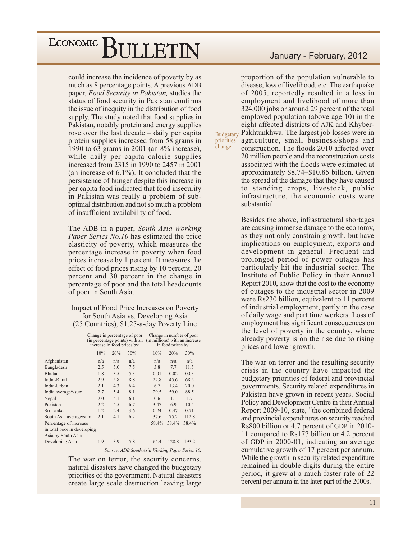could increase the incidence of poverty by as much as 8 percentage points. A previous ADB paper, Food Security in Pakistan, studies the status of food security in Pakistan confirms the issue of inequity in the distribution of food supply. The study noted that food supplies in Pakistan, notably protein and energy supplies rose over the last decade  $-$  daily per capita protein supplies increased from 58 grams in 1990 to 63 grams in 2001 (an  $8\%$  increase), while daily per capita calorie supplies increased from 2315 in 1990 to 2457 in 2001 (an increase of  $6.1\%$ ). It concluded that the persistence of hunger despite this increase in per capita food indicated that food insecurity in Pakistan was really a problem of suboptimal distribution and not so much a problem of insufficient availability of food.

The ADB in a paper, South Asia Working *Paper Series No.10* has estimated the price elasticity of poverty, which measures the percentage increase in poverty when food prices increase by 1 percent. It measures the effect of food prices rising by 10 percent, 20 percent and 30 percent in the change in percentage of poor and the total headcounts of poor in South Asia.

Impact of Food Price Increases on Poverty for South Asia vs. Developing Asia (25 Countries), \$1.25-a-day Poverty Line

| 10%<br>20%<br>n/a<br>5.0<br>3.5<br>5.8<br>4.3<br>5.4 | 30%<br>n/a<br>7.5<br>5.3<br>8.8<br>6.4<br>8.1 | 10%<br>n/a<br>3.8<br>0.01<br>22.8<br>6.7<br>29.5 | 20%<br>n/a<br>7.7<br>0.02<br>45.6<br>13.4<br>59.0 | 30%<br>n/a<br>11.5<br>0.03<br>68.5<br>20.0<br>88.5               |
|------------------------------------------------------|-----------------------------------------------|--------------------------------------------------|---------------------------------------------------|------------------------------------------------------------------|
|                                                      |                                               |                                                  |                                                   |                                                                  |
|                                                      |                                               |                                                  |                                                   |                                                                  |
|                                                      |                                               |                                                  |                                                   |                                                                  |
|                                                      |                                               |                                                  |                                                   |                                                                  |
|                                                      |                                               |                                                  |                                                   |                                                                  |
|                                                      |                                               |                                                  |                                                   |                                                                  |
|                                                      |                                               |                                                  |                                                   |                                                                  |
| 4.1                                                  | 6.1                                           | 0.6                                              | 1.1                                               | 1.7                                                              |
| 4.5                                                  | 6.7                                           | 3.47                                             | 6.9                                               | 10.4                                                             |
| 2.4                                                  | 3.6                                           | 0.24                                             | 0.47                                              | 0.71                                                             |
| 4.1                                                  | 6.2                                           | 37.6                                             | 75.2                                              | 112.8                                                            |
|                                                      |                                               |                                                  | 58.4%                                             | 58.4%                                                            |
|                                                      |                                               |                                                  |                                                   |                                                                  |
|                                                      |                                               |                                                  |                                                   |                                                                  |
| 3.9                                                  | 5.8                                           |                                                  | 128.8                                             | 193.2                                                            |
|                                                      |                                               |                                                  |                                                   | 58.4%<br>64.4<br>Source: ADB South Asia Working Paper Series 10. |

The war on terror, the security concerns, natural disasters have changed the budgetary priorities of the government. Natural disasters create large scale destruction leaving large

### January - February, 2012

proportion of the population vulnerable to disease, loss of livelihood, etc. The earthquake of 2005, reportedly resulted in a loss in employment and livelihood of more than 324,000 jobs or around 29 percent of the total employed population (above age 10) in the eight affected districts of AJK and Khyber-Budgetary Pakhtunkhwa. The largest job losses were in priorities agriculture, small business/shops and construction. The floods 2010 affected over 20 million people and the reconstruction costs associated with the floods were estimated at approximately \$8.74-\$10.85 billion. Given the spread of the damage that they have caused to standing crops, livestock, public infrastructure, the economic costs were substantial

change

Besides the above, infrastructural shortages are causing immense damage to the economy, as they not only constrain growth, but have implications on employment, exports and development in general. Frequent and prolonged period of power outages has particularly hit the industrial sector. The Institute of Public Policy in their Annual Report 2010, show that the cost to the economy of outages to the industrial sector in 2009 were Rs230 billion, equivalent to 11 percent of industrial employment, partly in the case of daily wage and part time workers. Loss of employment has significant consequences on the level of poverty in the country, where already poverty is on the rise due to rising prices and lower growth.

The war on terror and the resulting security crisis in the country have impacted the budgetary priorities of federal and provincial governments. Security related expenditures in Pakistan have grown in recent years. Social Policy and Development Centre in their Annual Report 2009-10, state, "the combined federal and provincial expenditures on security reached Rs800 billion or 4.7 percent of GDP in 2010-11 compared to Rs177 billion or 4.2 percent of GDP in 2000-01, indicating an average cumulative growth of 17 percent per annum. While the growth in security related expenditure. remained in double digits during the entire period, it grew at a much faster rate of 22 percent per annum in the later part of the 2000s."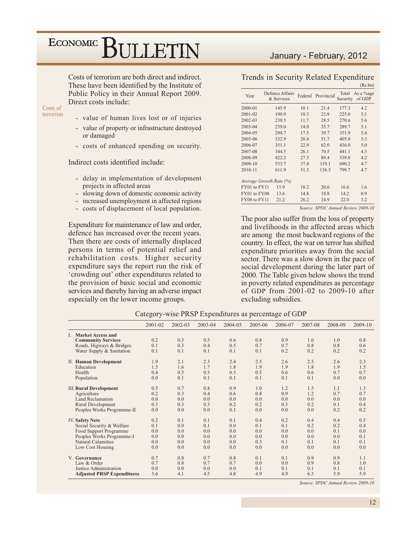Costs of terrorism are both direct and indirect. These have been identified by the Institute of Public Policy in their Annual Report 2009. Direct costs include:

Costs of terrorism

- value of human lives lost or of injuries
- value of property or infrastructure destroyed  $\overline{\phantom{a}}$ or damaged
- costs of enhanced spending on security.

Indirect costs identified include:

- delay in implementation of development projects in affected areas
- slowing down of domestic economic activity
- increased unemployment in affected regions
- costs of displacement of local population.

Expenditure for maintenance of law and order, defence has increased over the recent years. Then there are costs of internally displaced persons in terms of potential relief and rehabilitation costs. Higher security expenditure says the report run the risk of 'crowding out' other expenditures related to the provision of basic social and economic services and thereby having an adverse impact especially on the lower income groups.

### January - February, 2012

Trends in Security Related Expenditure  $(Rs,bn)$ 

| Year         | Defence Affairs<br>& Services |      | Federal Provincial | Security | Total As a %age<br>of GDP |
|--------------|-------------------------------|------|--------------------|----------|---------------------------|
| 2000-01      | 145.9                         | 10.1 | 21.4               | 177.3    | 4.2                       |
| 2001-02      | 190.9                         | 10.3 | 23.8               | 225.0    | 5.1                       |
| 2002-03      | 230.5                         | 11.7 | 28.5               | 270.6    | 5.6                       |
| 2003-04      | 239.0                         | 14.0 | 35.7               | 289.7    | 5.1                       |
| 2004-05      | 294.7                         | 17.5 | 39.7               | 351.9    | 5.4                       |
| 2005-06      | 332.9                         | 20.4 | 51.7               | 405.0    | 5.3                       |
| 2006-07      | 351.1                         | 22.9 | 62.0               | 436.0    | 5.0                       |
| 2007-08      | 344.5                         | 26.1 | 70.5               | 441.1    | 4.3                       |
| 2008-09      | 422.2                         | 27.3 | 89.4               | 539.0    | 4.2                       |
| 2009-10      | 533.7                         | 37.4 | 119.1              | 690.2    | 4.7                       |
| 2010-11      | 611.9                         | 51.3 | 136.5              | 799.7    | 4.7                       |
|              |                               |      |                    |          |                           |
|              | Average Growth Rate (%)       |      |                    |          |                           |
| FY01 to FY11 | 15.9                          | 18.2 | 20.6               | 16.6     | 1.6                       |
| FY01 to FY08 | 13.6                          | 14.8 | 18.8               | 14.2     | 0.9                       |
| FY08 to FY11 | 21.2                          | 26.2 | 24.9               | 22.0     | 3.2                       |
|              |                               |      |                    |          |                           |

Source: SPDC Annual Review 2009-10

The poor also suffer from the loss of property and livelihoods in the affected areas which are among the most backward regions of the country. In effect, the war on terror has shifted expenditure priorities away from the social sector. There was a slow down in the pace of social development during the later part of 2000. The Table given below shows the trend in poverty related expenditures as percentage of GDP from 2001-02 to 2009-10 after excluding subsidies.

|                                   | 2001-02 | 2002-03 | 2003-04 | 2004-05 | 2005-06 | 2006-07 | 2007-08 | 2008-09 | 2009-10 |
|-----------------------------------|---------|---------|---------|---------|---------|---------|---------|---------|---------|
| I. Market Access and              |         |         |         |         |         |         |         |         |         |
| <b>Community Services</b>         | 0.2     | 0.3     | 0.5     | 0.6     | 0.8     | 0.9     | 1.0     | 1.0     | 0.8     |
| Roads, Higways & Bridges          | 0.1     | 0.3     | 0.4     | 0.5     | 0.7     | 0.7     | 0.8     | 0.8     | 0.6     |
| Water Supply & Sanitation         | 0.1     | 0.1     | 0.1     | 0.1     | 0.1     | 0.2     | 0.2     | 0.2     | 0.2     |
| II. Human Development             | 1.9     | 2.1     | 2.3     | 2.4     | 2.5     | 2.6     | 2.5     | 2.6     | 2.3     |
| Education                         | 1.5     | 1.6     | 1.7     | 1.8     | 1.9     | 1.9     | 1.8     | 1.9     | 1.5     |
| Health                            | 0.4     | 0.5     | 0.5     | 0.5     | 0.5     | 0.6     | 0.6     | 0.7     | 0.7     |
| Population                        | 0.0     | 0.1     | 0.1     | 0.1     | 0.1     | 0.1     | 0.1     | 0.0     | 0.0     |
| <b>III. Rural Development</b>     | 0.5     | 0.7     | 0.8     | 0.9     | 1.0     | 1.2     | 1.5     | 1.1     | 1.3     |
| Agriculture                       | 0.2     | 0.3     | 0.4     | 0.6     | 0.8     | 0.9     | 1.2     | 0.7     | 0.7     |
| <b>Land Reclamation</b>           | 0.0     | 0.0     | 0.0     | 0.0     | 0.0     | 0.0     | 0.0     | 0.0     | 0.0     |
| Rural Development                 | 0.3     | 0.3     | 0.3     | 0.2     | 0.2     | 0.3     | 0.2     | 0.1     | 0.4     |
| Peoples Works Programme-II        | 0.0     | 0.0     | 0.0     | 0.1     | 0.0     | 0.0     | 0.0     | 0.2     | 0.2     |
| <b>IV. Safety Nets</b>            | 0.2     | 0.1     | 0.1     | 0.1     | 0.4     | 0.2     | 0.4     | 0.4     | 0.5     |
| Social Security & Welfare         | 0.1     | 0.0     | 0.1     | 0.0     | 0.1     | 0.1     | 0.2     | 0.2     | 0.4     |
| Food Support Programme            | 0.0     | 0.0     | 0.0     | 0.0     | 0.0     | 0.0     | 0.0     | 0.1     | 0.0     |
| Peoples Works Programme-I         | 0.0     | 0.0     | 0.0     | 0.0     | 0.0     | 0.0     | 0.0     | 0.0     | 0.1     |
| <b>Natural Calamities</b>         | 0.0     | 0.0     | 0.0     | 0.0     | 0.3     | 0.1     | 0.1     | 0.1     | 0.1     |
| Low Cost Housing                  | 0.0     | 0.0     | 0.0     | 0.0     | 0.0     | 0.0     | 0.0     | 0.0     | 0.0     |
| V. Governance                     | 0.7     | 0.8     | 0.7     | 0.8     | 0.1     | 0.1     | 0.9     | 0.9     | 1.1     |
| Law & Order                       | 0.7     | 0.8     | 0.7     | 0.7     | 0.0     | 0.0     | 0.9     | 0.8     | 1.0     |
| Justice Administration            | 0.0     | 0.0     | 0.0     | 0.0     | 0.1     | 0.1     | 0.1     | 0.1     | 0.1     |
| <b>Adjusted PRSP Expenditures</b> | 3.6     | 4.1     | 4.5     | 4.8     | 4.9     | 4.9     | 6.3     | 5.9     | 5.9     |

|  | Category-wise PRSP Expenditures as percentage of GDP |  |
|--|------------------------------------------------------|--|
|--|------------------------------------------------------|--|

Source: SPDC Annual Review 2009-10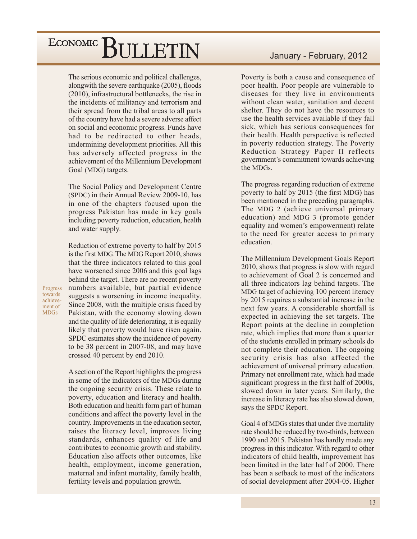The serious economic and political challenges, alongwith the severe earthquake (2005), floods (2010), infrastructural bottlenecks, the rise in the incidents of militancy and terrorism and their spread from the tribal areas to all parts of the country have had a severe adverse affect on social and economic progress. Funds have had to be redirected to other heads, undermining development priorities. All this has adversely affected progress in the achievement of the Millennium Development Goal (MDG) targets.

The Social Policy and Development Centre (SPDC) in their Annual Review 2009-10, has in one of the chapters focused upon the progress Pakistan has made in key goals including poverty reduction, education, health and water supply.

Reduction of extreme poverty to half by 2015 is the first MDG. The MDG Report 2010, shows that the three indicators related to this goal have worsened since 2006 and this goal lags behind the target. There are no recent poverty numbers available, but partial evidence suggests a worsening in income inequality. Since 2008, with the multiple crisis faced by Pakistan, with the economy slowing down and the quality of life deteriorating, it is equally likely that poverty would have risen again. SPDC estimates show the incidence of poverty to be 38 percent in 2007-08, and may have crossed 40 percent by end 2010.

A section of the Report highlights the progress in some of the indicators of the MDGs during the ongoing security crisis. These relate to poverty, education and literacy and health. Both education and health form part of human conditions and affect the poverty level in the country. Improvements in the education sector, raises the literacy level, improves living standards, enhances quality of life and contributes to economic growth and stability. Education also affects other outcomes, like health, employment, income generation, maternal and infant mortality, family health, fertility levels and population growth.

### January - February, 2012

Poverty is both a cause and consequence of poor health. Poor people are vulnerable to diseases for they live in environments without clean water, sanitation and decent shelter. They do not have the resources to use the health services available if they fall sick, which has serious consequences for their health. Health perspective is reflected in poverty reduction strategy. The Poverty Reduction Strategy Paper II reflects government's commitment towards achieving the MDGs.

The progress regarding reduction of extreme poverty to half by 2015 (the first MDG) has been mentioned in the preceding paragraphs. The MDG 2 (achieve universal primary education) and MDG 3 (promote gender equality and women's empowerment) relate to the need for greater access to primary education.

The Millennium Development Goals Report 2010, shows that progress is slow with regard to achievement of Goal 2 is concerned and all three indicators lag behind targets. The MDG target of achieving 100 percent literacy by 2015 requires a substantial increase in the next few years. A considerable shortfall is expected in achieving the set targets. The Report points at the decline in completion rate, which implies that more than a quarter of the students enrolled in primary schools do not complete their education. The ongoing security crisis has also affected the achievement of universal primary education. Primary net enrollment rate, which had made significant progress in the first half of 2000s, slowed down in later years. Similarly, the increase in literacy rate has also slowed down, says the SPDC Report.

Goal 4 of MDGs states that under five mortality rate should be reduced by two-thirds, between 1990 and 2015. Pakistan has hardly made any progress in this indicator. With regard to other indicators of child health, improvement has been limited in the later half of 2000. There has been a setback to most of the indicators of social development after 2004-05. Higher

Progress towards achievement of **MDGs**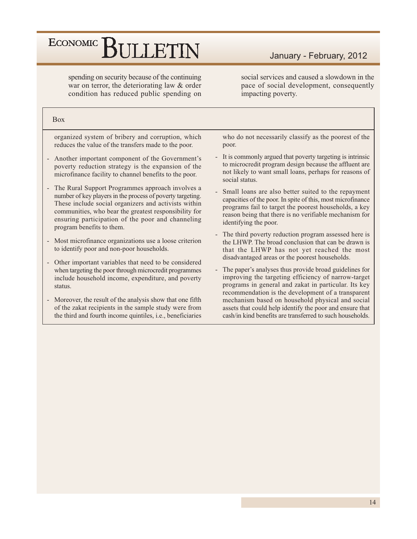spending on security because of the continuing war on terror, the deteriorating law & order condition has reduced public spending on January - February, 2012

social services and caused a slowdown in the pace of social development, consequently impacting poverty.

#### **Box**

organized system of bribery and corruption, which reduces the value of the transfers made to the poor.

- Another important component of the Government's poverty reduction strategy is the expansion of the microfinance facility to channel benefits to the poor.
- The Rural Support Programmes approach involves a number of key players in the process of poverty targeting. These include social organizers and activists within communities, who bear the greatest responsibility for ensuring participation of the poor and channeling program benefits to them.
- Most microfinance organizations use a loose criterion to identify poor and non-poor households.
- Other important variables that need to be considered when targeting the poor through microcredit programmes include household income, expenditure, and poverty status.
- Moreover, the result of the analysis show that one fifth of the zakat recipients in the sample study were from the third and fourth income quintiles, i.e., beneficiaries

who do not necessarily classify as the poorest of the poor.

- It is commonly argued that poverty targeting is intrinsic to microcredit program design because the affluent are not likely to want small loans, perhaps for reasons of social status.
- Small loans are also better suited to the repayment capacities of the poor. In spite of this, most microfinance programs fail to target the poorest households, a key reason being that there is no verifiable mechanism for identifying the poor.
- The third poverty reduction program assessed here is the LHWP. The broad conclusion that can be drawn is that the LHWP has not yet reached the most disadvantaged areas or the poorest households.
- The paper's analyses thus provide broad guidelines for improving the targeting efficiency of narrow-target programs in general and zakat in particular. Its key recommendation is the development of a transparent mechanism based on household physical and social assets that could help identify the poor and ensure that cash/in kind benefits are transferred to such households.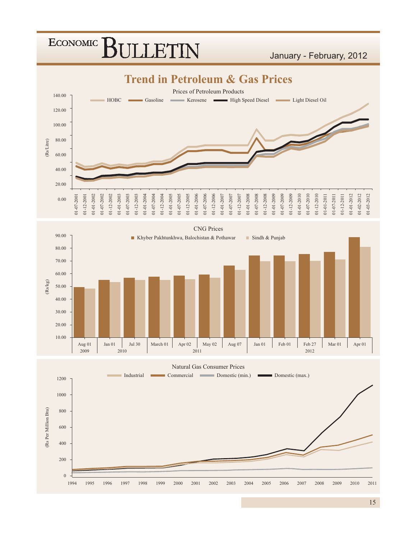

####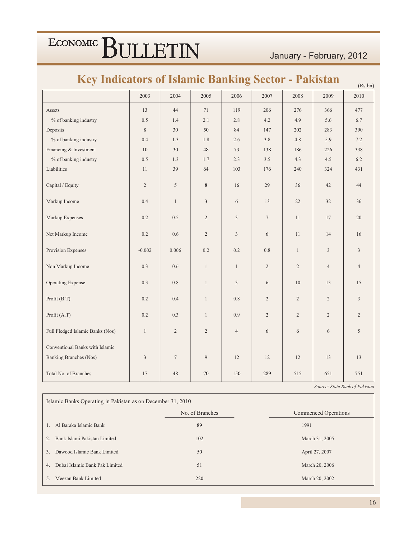### January - February, 2012

| Rey indicators of islamic Banking Sector - Pakistan |                |                |                |                |                |                |                | (Rs bn)        |
|-----------------------------------------------------|----------------|----------------|----------------|----------------|----------------|----------------|----------------|----------------|
|                                                     | 2003           | 2004           | 2005           | 2006           | 2007           | 2008           | 2009           | 2010           |
| Assets                                              | 13             | 44             | 71             | 119            | 206            | 276            | 366            | 477            |
| % of banking industry                               | 0.5            | 1.4            | 2.1            | 2.8            | 4.2            | 4.9            | 5.6            | 6.7            |
| Deposits                                            | $\,$ 8 $\,$    | 30             | 50             | 84             | 147            | 202            | 283            | 390            |
| % of banking industry                               | 0.4            | 1.3            | 1.8            | 2.6            | 3.8            | 4.8            | 5.9            | 7.2            |
| Financing & Investment                              | 10             | 30             | 48             | 73             | 138            | 186            | 226            | 338            |
| % of banking industry                               | 0.5            | 1.3            | 1.7            | 2.3            | 3.5            | 4.3            | $4.5\,$        | 6.2            |
| Liabilities                                         | 11             | 39             | 64             | 103            | 176            | 240            | 324            | 431            |
| Capital / Equity                                    | $\overline{c}$ | 5              | $\,$ 8 $\,$    | 16             | 29             | 36             | 42             | 44             |
| Markup Income                                       | 0.4            | $\mathbf{1}$   | $\mathfrak{Z}$ | 6              | 13             | 22             | 32             | 36             |
| Markup Expenses                                     | 0.2            | 0.5            | $\overline{2}$ | $\overline{3}$ | $\tau$         | 11             | 17             | 20             |
| Net Markup Income                                   | 0.2            | 0.6            | $\overline{2}$ | 3              | 6              | 11             | 14             | 16             |
| Provision Expenses                                  | $-0.002$       | 0.006          | 0.2            | 0.2            | 0.8            | $\mathbf{1}$   | $\overline{3}$ | 3              |
| Non Markup Income                                   | 0.3            | 0.6            | $\mathbf{1}$   | $\mathbf{1}$   | $\overline{2}$ | $\overline{2}$ | $\overline{4}$ | $\overline{4}$ |
| <b>Operating Expense</b>                            | 0.3            | 0.8            | $\mathbf{1}$   | 3              | 6              | 10             | 13             | 15             |
| Profit (B.T)                                        | 0.2            | 0.4            | $\mathbf{1}$   | 0.8            | $\overline{2}$ | $\overline{2}$ | 2              | 3              |
| Profit (A.T)                                        | 0.2            | 0.3            | $\mathbf{1}$   | 0.9            | 2              | $\overline{2}$ | $\overline{2}$ | $\overline{2}$ |
| Full Fledged Islamic Banks (Nos)                    | $\mathbf{1}$   | $\overline{2}$ | $\overline{2}$ | $\overline{4}$ | 6              | 6              | 6              | 5              |
| Conventional Banks with Islamic                     |                |                |                |                |                |                |                |                |
| Banking Branches (Nos)                              | $\overline{3}$ | $\tau$         | 9              | 12             | 12             | 12             | 13             | 13             |
| Total No. of Branches                               | 17             | 48             | 70             | 150            | 289            | 515            | 651            | 751            |

#### $\mathbf{r}$  $\mathbf{r}$  $\sim$  $\blacksquare$  $\mathcal{A}$  $\bullet$  $\mathbf{r}$

Source: State Bank of Pakistan

Islamic Banks Operating in Pakistan as on December 31, 2010 No. of Branches Commenced Operations 1. Al Baraka Islamic Bank  $89\,$ 1991 2. Bank Islami Pakistan Limited 102 March 31, 2005 3. Dawood Islamic Bank Limited 50 April 27, 2007 4. Dubai Islamic Bank Pak Limited March 20, 2006 51 5. Meezan Bank Limited 220 March 20, 2002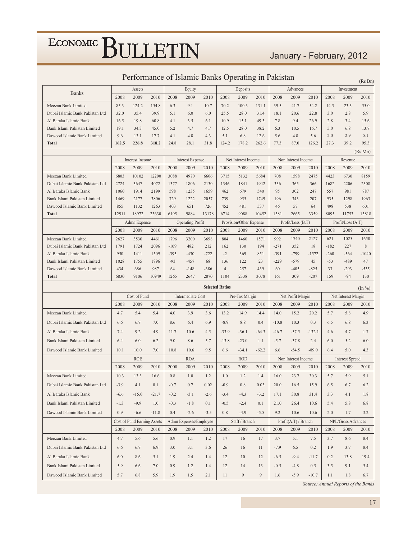### January - February, 2012

|                                 | I criterinance of islamic Dailys Operating in I akistan<br>(Rs Bn) |                             |         |        |                                 |        |                        |                                 |         |         |                           |          |        |                           |                     |
|---------------------------------|--------------------------------------------------------------------|-----------------------------|---------|--------|---------------------------------|--------|------------------------|---------------------------------|---------|---------|---------------------------|----------|--------|---------------------------|---------------------|
|                                 |                                                                    | Assets                      |         |        | Equity                          |        |                        | Deposits                        |         |         | Advances                  |          |        | Investment                |                     |
| <b>Banks</b>                    | 2008                                                               | 2009                        | 2010    | 2008   | 2009                            | 2010   | 2008                   | 2009                            | 2010    | 2008    | 2009                      | 2010     | 2008   | 2009                      | 2010                |
| Meezan Bank Limited             | 85.3                                                               | 124.2                       | 154.8   | 6.3    | 9.1                             | 10.7   | 70.2                   | 100.3                           | 131.1   | 39.5    | 41.7                      | 54.2     | 14.5   | 23.3                      | 55.0                |
| Dubai Islamic Bank Pakistan Ltd | 32.0                                                               | 35.4                        | 39.9    | 5.1    | 6.0                             | 6.0    | 25.5                   | 28.0                            | 31.4    | 18.1    | 20.6                      | 22.8     | 3.0    | 2.8                       | 5.9                 |
| Al Baraka Islamic Bank          | 16.5                                                               | 19.8                        | 60.8    | 4.1    | 3.5                             | 6.1    | 10.9                   | 15.1                            | 49.3    | 7.8     | 9.4                       | 26.9     | 2.8    | 3.4                       | 15.6                |
| Bank Islami Pakistan Limited    | 19.1                                                               | 34.3                        | 45.0    | 5.2    | 4.7                             | 4.7    | 12.5                   | 28.0                            | 38.2    | 6.3     | 10.5                      | 16.7     | 5.0    | 6.8                       | 13.7                |
| Dawood Islamic Bank Limited     | 9.6                                                                | 13.1                        | 17.7    | 4.1    | 4.8                             | 4.3    | 5.1                    | 6.8                             | 12.6    | 5.6     | 4.8                       | 5.6      | 2.0    | 2.9                       | 5.1                 |
| <b>Total</b>                    | 162.5                                                              | 226.8                       | 318.2   | 24.8   | 28.1                            | 31.8   | 124.2                  | 178.2                           | 262.6   | 77.3    | 87.0                      | 126.2    | 27.3   | 39.2                      | 95.3                |
|                                 |                                                                    |                             |         |        |                                 |        |                        |                                 |         |         |                           |          |        |                           | (Rs Mn)             |
|                                 |                                                                    | <b>Interest Income</b>      |         |        | <b>Interest Expense</b>         |        |                        | Net Interest Income             |         |         | Non Interest Income       |          |        | Revenue                   |                     |
|                                 | 2008                                                               | 2009                        | 2010    | 2008   | 2009                            | 2010   | 2008                   | 2009                            | 2010    | 2008    | 2009                      | 2010     | 2008   | 2009                      | 2010                |
| Meezan Bank Limited             | 6803                                                               | 10102                       | 12290   | 3088   | 4970                            | 6606   | 3715                   | 5132                            | 5684    | 708     | 1598                      | 2475     | 4423   | 6730                      | 8159                |
| Dubai Islamic Bank Pakistan Ltd | 2724                                                               | 3647                        | 4072    | 1377   | 1806                            | 2130   | 1346                   | 1841                            | 1942    | 336     | 365                       | 366      | 1682   | 2206                      | 2308                |
| Al Baraka Islamic Bank          | 1060                                                               | 1914                        | 2199    | 598    | 1235                            | 1659   | 462                    | 679                             | 540     | 95      | 302                       | 247      | 557    | 981                       | 787                 |
| Bank Islami Pakistan Limited    | 1469                                                               | 2177                        | 3806    | 729    | 1222                            | 2057   | 739                    | 955                             | 1749    | 196     | 343                       | 207      | 935    | 1298                      | 1963                |
| Dawood Islamic Bank Limited     | 855                                                                | 1132                        | 1263    | 403    | 651                             | 726    | 452                    | 481                             | 537     | 46      | 57                        | 64       | 498    | 538                       | 601                 |
| <b>Total</b>                    | 12911                                                              | 18972                       | 23630   | 6195   | 9884                            | 13178  | 6714                   | 9088                            | 10452   | 1381    | 2665                      | 3359     | 8095   | 11753                     | 13818               |
|                                 | 2008                                                               | Admn Expense<br>2009        | 2010    | 2008   | <b>Operating Profit</b><br>2009 | 2010   | 2008                   | Provision/Other Expense<br>2009 | 2010    | 2008    | Profit/Loss (B.T)<br>2009 | 2010     | 2008   | Profit/Loss (A.T)<br>2009 | 2010                |
| Meezan Bank Limited             | 2627                                                               | 3530                        | 4461    | 1796   | 3200                            | 3698   | 804                    | 1460                            | 1571    | 992     | 1740                      | 2127     | 621    | 1025                      | 1650                |
| Dubai Islamic Bank Pakistan Ltd | 1791                                                               | 1724                        | 2096    | $-109$ | 482                             | 212    | 162                    | 130                             | 194     | $-271$  | 352                       | 18       | $-182$ | 227                       | $\,$ 8 $\,$         |
| Al Baraka Islamic Bank          | 950                                                                | 1411                        | 1509    | $-393$ | $-430$                          | $-722$ | $-2$                   | 369                             | 851     | $-391$  | $-799$                    | $-1572$  | $-260$ | $-564$                    | $-1040$             |
| Bank Islami Pakistan Limited    | 1028                                                               | 1755                        | 1896    | $-93$  | $-457$                          | 68     | 136                    | 122                             | 23      | $-229$  | $-579$                    | 45       | $-53$  | $-489$                    | 47                  |
| Dawood Islamic Bank Limited     | 434                                                                | 686                         | 987     | 64     | $-148$                          | $-386$ | $\overline{4}$         | 257                             | 439     | 60      | $-405$                    | $-825$   | 33     | $-293$                    | $-535$              |
| <b>Total</b>                    | 6830                                                               | 9106                        | 10949   | 1265   | 2647                            | 2870   | 1104                   | 2338                            | 3078    | 161     | 309                       | $-207$   | 159    | $-94$                     | 130                 |
|                                 |                                                                    |                             |         |        |                                 |        | <b>Selected Ratios</b> |                                 |         |         |                           |          |        |                           |                     |
|                                 |                                                                    | Cost of Fund                |         |        | Intermediate Cost               |        |                        | Pre-Tax Margin                  |         |         | Net Profit Margin         |          |        | Net Interest Margin       | $(\ln \frac{9}{6})$ |
|                                 | 2008                                                               | 2009                        | 2010    | 2008   | 2009                            | 2010   | 2008                   | 2009                            | 2010    | 2008    | 2009                      | 2010     | 2008   | 2009                      | 2010                |
| Meezan Bank Limited             | 4.7                                                                | 5.4                         | 5.4     | 4.0    | 3.9                             | 3.6    | 13.2                   | 14.9                            | 14.4    | 14.0    | 15.2                      | 20.2     | 5.7    | 5.8                       | 4.9                 |
| Dubai Islamic Bank Pakistan Ltd | 6.6                                                                | 6.7                         | 7.0     | 8.6    | 6.4                             | 6.9    | $-8.9$                 | 8.8                             | 0.4     | $-10.8$ | 10.3                      | 0.3      | 6.5    | 6.8                       | 6.3                 |
| Al Baraka Islamic Bank          | 7.4                                                                | 9.2                         | 4.9     | 11.7   | 10.6                            | 4.5    | $-33.9$                | $-36.1$                         | $-64.3$ | $-46.7$ | $-57.5$                   | $-132.1$ | 4.6    | 4.7                       | 1.7                 |
| Bank Islami Pakistan Limited    | 6.4                                                                | 6.0                         | 6.2     | 9.0    | 8.6                             | 5.7    | $-13.8$                | $-23.0$                         | 1.1     | $-5.7$  | $-37.8$                   | 2.4      | 6.0    | 5.2                       | 6.0                 |
| Dawood Islamic Bank Limited     | 10.1                                                               | 10.0                        | 7.0     | 10.8   | 10.6                            | 9.5    | 6.6                    | $-34.1$                         | $-62.2$ | 6.6     | $-54.5$                   | $-89.0$  | 6.4    | 5.0                       | 4.3                 |
|                                 |                                                                    |                             |         |        |                                 |        |                        |                                 |         |         |                           |          |        |                           |                     |
|                                 | 2008                                                               | <b>ROE</b><br>2009          | 2010    | 2008   | <b>ROA</b><br>2009              |        | 2008                   | <b>ROD</b><br>2009              | 2010    | 2008    | Non Interest Income       |          |        | <b>Interest Spread</b>    |                     |
|                                 |                                                                    |                             |         |        |                                 | 2010   |                        |                                 |         |         | 2009                      | 2010     | 2008   | 2009                      | 2010                |
| Meezan Bank Limited             | 10.3                                                               | 13.3                        | 16.6    | 0.8    | 1.0                             | 1.2    | 1.0                    | 1.2                             | 1.4     | 16.0    | 23.7                      | 30.3     | 5.7    | 5.9                       | 5.1                 |
| Dubai Islamic Bank Pakistan Ltd | $-3.9$                                                             | 4.1                         | 0.1     | $-0.7$ | 0.7                             | 0.02   | $-0.9$                 | $0.8\,$                         | 0.03    | 20.0    | $16.5\,$                  | 15.9     | 6.5    | 6.7                       | 6.2                 |
| Al Baraka Islamic Bank          | $-6.6$                                                             | $-15.0$                     | $-21.7$ | $-0.2$ | $-3.1$                          | $-2.6$ | $-3.4$                 | $-4.3$                          | $-3.2$  | 17.1    | 30.8                      | 31.4     | 3.3    | 4.1                       | 1.8                 |
| Bank Islami Pakistan Limited    | $-1.3$                                                             | $-9.9$                      | 1.0     | $-0.3$ | $-1.8$                          | 0.1    | $-0.5$                 | $-2.4$                          | 0.1     | 21.0    | 26.4                      | 10.6     | 5.4    | 5.8                       | 6.8                 |
| Dawood Islamic Bank Limited     | 0.9                                                                | $-6.6$                      | $-11.8$ | 0.4    | $-2.6$                          | $-3.5$ | 0.8                    | $-4.9$                          | $-5.5$  | 9.2     | 10.6                      | 10.6     | 2.0    | 1.7                       | 3.2                 |
|                                 |                                                                    | Cost of Fund Earning Assets |         |        | Admn Expenses/Employee          |        |                        | Staff / Branch                  |         |         | Profit(A.T) / Branch      |          |        | NPL/Gross Advances        |                     |
|                                 | 2008                                                               | 2009                        | 2010    | 2008   | 2009                            | 2010   | 2008                   | 2009                            | 2010    | 2008    | 2009                      | 2010     | 2008   | 2009                      | 2010                |
| Meezan Bank Limited             | 4.7                                                                | 5.6                         | 5.6     | 0.9    | 1.1                             | 1.2    | 17                     | 16                              | 17      | 3.7     | 5.1                       | 7.5      | 3.7    | 8.6                       | 8.4                 |
| Dubai Islamic Bank Pakistan Ltd | 6.6                                                                | 6.7                         | 6.9     | 3.0    | 3.1                             | 3.6    | 26                     | 16                              | 11      | $-7.9$  | 6.5                       | 0.2      | 1.9    | 3.7                       | 8.4                 |
| Al Baraka Islamic Bank          | 6.0                                                                | 8.6                         | 5.1     | 1.9    | 2.4                             | 1.4    | 12                     | 10                              | 12      | $-6.5$  | $-9.4$                    | $-11.7$  | 0.2    | 13.8                      | 19.4                |
| Bank Islami Pakistan Limited    | 5.9                                                                | 6.6                         | 7.0     | 0.9    | 1.2                             | 1.4    | 12                     | 14                              | 13      | $-0.5$  | $-4.8$                    | 0.5      | 3.5    | 9.1                       | 5.4                 |
| Dawood Islamic Bank Limited     | 5.7                                                                | 6.8                         | 5.9     | 1.9    | 1.5                             | 2.1    | 11                     | 9                               | 9       | 1.6     | $-5.9$                    | $-10.7$  | 1.1    | 1.8                       | 6.7                 |

### Performance of Islamic Ranks Operating in Pakistan

Source: Annual Reports of the Banks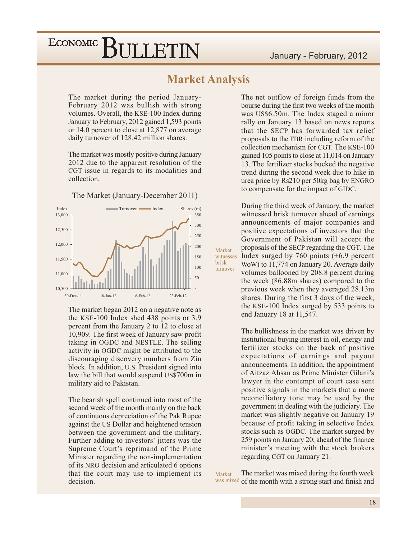### **Market Analysis**

Market

turnover

brisk

The market during the period January-February 2012 was bullish with strong volumes. Overall, the KSE-100 Index during January to February, 2012 gained 1,593 points or 14.0 percent to close at 12,877 on average daily turnover of 128.42 million shares.

The market was mostly positive during January 2012 due to the apparent resolution of the CGT issue in regards to its modalities and collection.

The Market (January-December 2011)



The market began 2012 on a negative note as the KSE-100 Index shed 438 points or 3.9 percent from the January 2 to 12 to close at 10,909. The first week of January saw profit taking in OGDC and NESTLE. The selling activity in OGDC might be attributed to the discouraging discovery numbers from Zin block. In addition, U.S. President signed into law the bill that would suspend US\$700m in military aid to Pakistan.

The bearish spell continued into most of the second week of the month mainly on the back of continuous depreciation of the Pak Rupee against the US Dollar and heightened tension between the government and the military. Further adding to investors' jitters was the Supreme Court's reprimand of the Prime Minister regarding the non-implementation of its NRO decision and articulated 6 options that the court may use to implement its decision.

The net outflow of foreign funds from the bourse during the first two weeks of the month was US\$6.50m. The Index staged a minor rally on January 13 based on news reports that the SECP has forwarded tax relief proposals to the FBR including reform of the collection mechanism for CGT. The KSE-100 gained 105 points to close at 11,014 on January 13. The fertilizer stocks bucked the negative trend during the second week due to hike in urea price by Rs210 per 50kg bag by ENGRO to compensate for the impact of GIDC.

During the third week of January, the market witnessed brisk turnover ahead of earnings announcements of major companies and positive expectations of investors that the Government of Pakistan will accept the proposals of the SECP regarding the CGT. The witnesses Index surged by  $760$  points  $(+6.9$  percent WoW) to 11,774 on January 20. Average daily volumes ballooned by 208.8 percent during the week (86.88m shares) compared to the previous week when they averaged 28.13m shares. During the first 3 days of the week, the KSE-100 Index surged by 533 points to end January 18 at 11,547.

> The bullishness in the market was driven by institutional buying interest in oil, energy and fertilizer stocks on the back of positive expectations of earnings and payout announcements. In addition, the appointment of Aitzaz Ahsan as Prime Minister Gilani's lawyer in the contempt of court case sent positive signals in the markets that a more reconciliatory tone may be used by the government in dealing with the judiciary. The market was slightly negative on January 19 because of profit taking in selective Index stocks such as OGDC. The market surged by 259 points on January 20; ahead of the finance minister's meeting with the stock brokers regarding CGT on January 21.

The market was mixed during the fourth week Market was mixed of the month with a strong start and finish and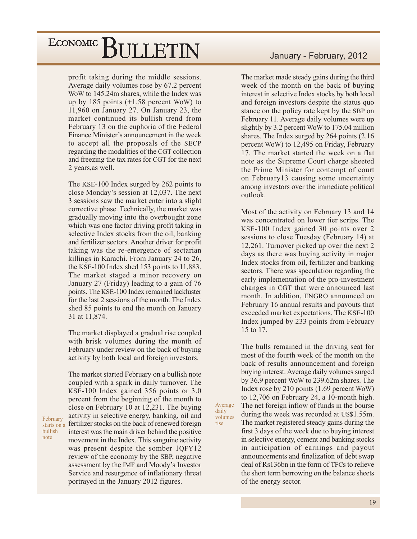profit taking during the middle sessions. Average daily volumes rose by 67.2 percent WoW to 145.24m shares, while the Index was up by 185 points  $(+1.58$  percent WoW) to  $11,960$  on January 27. On January 23, the market continued its bullish trend from February 13 on the euphoria of the Federal Finance Minister's announcement in the week to accept all the proposals of the SECP regarding the modalities of the CGT collection and freezing the tax rates for CGT for the next 2 years, as well.

The KSE-100 Index surged by 262 points to close Monday's session at 12,037. The next 3 sessions saw the market enter into a slight corrective phase. Technically, the market was gradually moving into the overbought zone which was one factor driving profit taking in selective Index stocks from the oil, banking and fertilizer sectors. Another driver for profit taking was the re-emergence of sectarian killings in Karachi. From January 24 to 26, the KSE-100 Index shed 153 points to  $11,883$ . The market staged a minor recovery on January 27 (Friday) leading to a gain of 76 points. The KSE-100 Index remained lackluster for the last 2 sessions of the month. The Index shed 85 points to end the month on January 31 at 11,874.

The market displayed a gradual rise coupled with brisk volumes during the month of February under review on the back of buying activity by both local and foreign investors.

The market started February on a bullish note coupled with a spark in daily turnover. The KSE-100 Index gained 356 points or 3.0 percent from the beginning of the month to close on February 10 at 12,231. The buying activity in selective energy, banking, oil and fertilizer stocks on the back of renewed foreign interest was the main driver behind the positive movement in the Index. This sanguine activity was present despite the somber 1QFY12 review of the economy by the SBP, negative assessment by the IMF and Moody's Investor Service and resurgence of inflationary threat portrayed in the January 2012 figures.

February

bullish

note

starts on a

### January - February, 2012

The market made steady gains during the third week of the month on the back of buying interest in selective Index stocks by both local and foreign investors despite the status quo stance on the policy rate kept by the SBP on February 11. Average daily volumes were up slightly by 3.2 percent WoW to 175.04 million shares. The Index surged by 264 points (2.16) percent WoW) to 12,495 on Friday, February 17. The market started the week on a flat note as the Supreme Court charge sheeted the Prime Minister for contempt of court on February13 causing some uncertainty among investors over the immediate political outlook.

Most of the activity on February 13 and 14 was concentrated on lower tier scrips. The KSE-100 Index gained 30 points over 2 sessions to close Tuesday (February 14) at 12,261. Turnover picked up over the next 2 days as there was buying activity in major Index stocks from oil, fertilizer and banking sectors. There was speculation regarding the early implementation of the pro-investment changes in CGT that were announced last month. In addition, ENGRO announced on February 16 annual results and payouts that exceeded market expectations. The KSE-100 Index jumped by 233 points from February 15 to 17.

The bulls remained in the driving seat for most of the fourth week of the month on the back of results announcement and foreign buying interest. Average daily volumes surged by 36.9 percent WoW to 239.62m shares. The Index rose by 210 points (1.69 percent WoW) to 12,706 on February 24, a 10-month high. The net foreign inflow of funds in the bourse during the week was recorded at US\$1.55m. The market registered steady gains during the first 3 days of the week due to buying interest in selective energy, cement and banking stocks in anticipation of earnings and payout announcements and finalization of debt swap deal of Rs136bn in the form of TFCs to relieve the short term borrowing on the balance sheets of the energy sector.

Average

volumes

daily

rise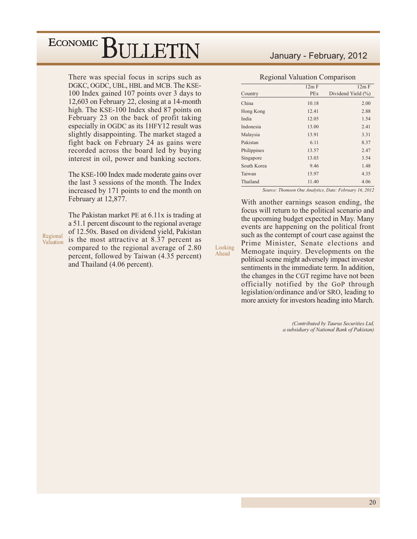There was special focus in scrips such as DGKC, OGDC, UBL, HBL and MCB. The KSE-100 Index gained 107 points over 3 days to 12,603 on February 22, closing at a 14-month high. The KSE-100 Index shed 87 points on February 23 on the back of profit taking especially in OGDC as its 1HFY12 result was slightly disappointing. The market staged a fight back on February 24 as gains were recorded across the board led by buying interest in oil, power and banking sectors.

The KSE-100 Index made moderate gains over the last 3 sessions of the month. The Index increased by 171 points to end the month on February at 12,877.

The Pakistan market PE at 6.11x is trading at a 51.1 percent discount to the regional average of 12.50x. Based on dividend yield, Pakistan is the most attractive at 8.37 percent as compared to the regional average of 2.80 percent, followed by Taiwan (4.35 percent) and Thailand (4.06 percent).

### January - February, 2012

#### **Regional Valuation Comparison**

|             | 12m F      | 12m F                  |
|-------------|------------|------------------------|
| Country     | <b>PEx</b> | Dividend Yield $(\% )$ |
| China       | 10.18      | 2.00                   |
| Hong Kong   | 12.41      | 2.88                   |
| India       | 12.05      | 1.54                   |
| Indonesia   | 13.00      | 2.41                   |
| Malaysia    | 13.91      | 3.31                   |
| Pakistan    | 6.11       | 8.37                   |
| Philippines | 13.57      | 2.47                   |
| Singapore   | 13.03      | 3.54                   |
| South Korea | 9.46       | 1.48                   |
| Taiwan      | 15.97      | 4.35                   |
| Thailand    | 11.40      | 4.06                   |

Source: Thomson One Analytics, Date: February 16, 2012

With another earnings season ending, the focus will return to the political scenario and the upcoming budget expected in May. Many events are happening on the political front such as the contempt of court case against the Prime Minister, Senate elections and Memogate inquiry. Developments on the political scene might adversely impact investor sentiments in the immediate term. In addition, the changes in the CGT regime have not been officially notified by the GoP through legislation/ordinance and/or SRO, leading to more anxiety for investors heading into March.

Looking

Ahead

(Contributed by Taurus Securities Ltd, a subsidiary of National Bank of Pakistan)

Regional Valuation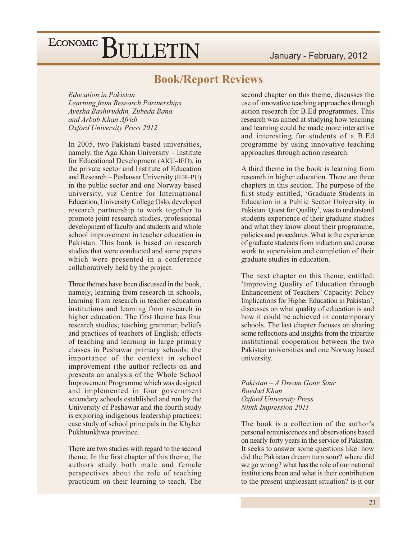### **Book/Report Reviews**

**Education in Pakistan** Learning from Research Partnerships Ayesha Bashiruddin, Zubeda Bana and Arbab Khan Afridi Oxford University Press 2012

In 2005, two Pakistani based universities, namely, the Aga Khan University - Institute for Educational Development (AKU-IED), in the private sector and Institute of Education and Research – Peshawar University (IER–PU) in the public sector and one Norway based university, viz Centre for International Education, University College Oslo, developed research partnership to work together to promote joint research studies, professional development of faculty and students and whole school improvement in teacher education in Pakistan. This book is based on research studies that were conducted and some papers which were presented in a conference collaboratively held by the project.

Three themes have been discussed in the book, namely, learning from research in schools, learning from research in teacher education institutions and learning from research in higher education. The first theme has four research studies; teaching grammar; beliefs and practices of teachers of English; effects of teaching and learning in large primary classes in Peshawar primary schools; the importance of the context in school improvement (the author reflects on and presents an analysis of the Whole School Improvement Programme which was designed and implemented in four government secondary schools established and run by the University of Peshawar and the fourth study is exploring indigenous leadership practices: case study of school principals in the Khyber Pukhtunkhwa province.

There are two studies with regard to the second theme. In the first chapter of this theme, the authors study both male and female perspectives about the role of teaching practicum on their learning to teach. The second chapter on this theme, discusses the use of innovative teaching approaches through action research for B.Ed programmes. This research was aimed at studying how teaching and learning could be made more interactive and interesting for students of a B.Ed programme by using innovative teaching approaches through action research.

A third theme in the book is learning from research in higher education. There are three chapters in this section. The purpose of the first study entitled, 'Graduate Students in Education in a Public Sector University in Pakistan: Quest for Quality', was to understand students experience of their graduate studies and what they know about their programme, policies and procedures. What is the experience of graduate students from induction and course work to supervision and completion of their graduate studies in education.

The next chapter on this theme, entitled: 'Improving Quality of Education through Enhancement of Teachers' Capacity: Policy Implications for Higher Education in Pakistan', discusses on what quality of education is and how it could be achieved in contemporary schools. The last chapter focuses on sharing some reflections and insights from the tripartite institutional cooperation between the two Pakistan universities and one Norway based university.

Pakistan – A Dream Gone Sour Roedad Khan **Oxford University Press** Ninth Impression 2011

The book is a collection of the author's personal reminiscences and observations based on nearly forty years in the service of Pakistan. It seeks to answer some questions like: how did the Pakistan dream turn sour? where did we go wrong? what has the role of our national institutions been and what is their contribution to the present unpleasant situation? is it our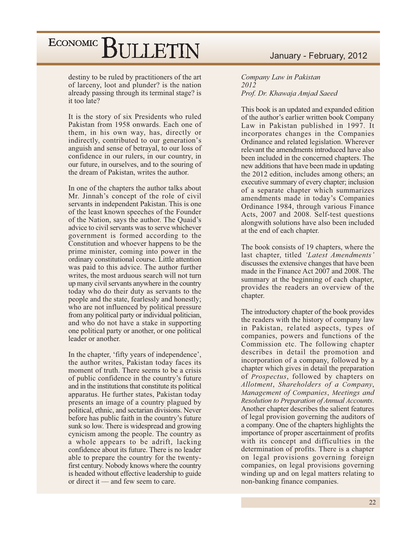destiny to be ruled by practitioners of the art of larceny, loot and plunder? is the nation already passing through its terminal stage? is it too late?

It is the story of six Presidents who ruled Pakistan from 1958 onwards. Each one of them, in his own way, has, directly or indirectly, contributed to our generation's anguish and sense of betrayal, to our loss of confidence in our rulers, in our country, in our future, in ourselves, and to the souring of the dream of Pakistan, writes the author.

In one of the chapters the author talks about Mr. Jinnah's concept of the role of civil servants in independent Pakistan. This is one of the least known speeches of the Founder of the Nation, says the author. The Quaid's advice to civil servants was to serve whichever government is formed according to the Constitution and whoever happens to be the prime minister, coming into power in the ordinary constitutional course. Little attention was paid to this advice. The author further writes, the most arduous search will not turn up many civil servants anywhere in the country today who do their duty as servants to the people and the state, fearlessly and honestly; who are not influenced by political pressure from any political party or individual politician, and who do not have a stake in supporting one political party or another, or one political leader or another.

In the chapter, 'fifty years of independence', the author writes, Pakistan today faces its moment of truth. There seems to be a crisis of public confidence in the country's future and in the institutions that constitute its political apparatus. He further states, Pakistan today presents an image of a country plagued by political, ethnic, and sectarian divisions. Never before has public faith in the country's future sunk so low. There is widespread and growing cynicism among the people. The country as a whole appears to be adrift, lacking confidence about its future. There is no leader able to prepare the country for the twentyfirst century. Nobody knows where the country is headed without effective leadership to guide or direct it  $-$  and few seem to care.

### January - February, 2012

Company Law in Pakistan 2012 Prof. Dr. Khawaja Amjad Saeed

This book is an updated and expanded edition of the author's earlier written book Company Law in Pakistan published in 1997. It incorporates changes in the Companies Ordinance and related legislation. Wherever relevant the amendments introduced have also been included in the concerned chapters. The new additions that have been made in updating the 2012 edition, includes among others; an executive summary of every chapter; inclusion of a separate chapter which summarizes amendments made in today's Companies Ordinance 1984, through various Finance Acts, 2007 and 2008. Self-test questions along with solutions have also been included at the end of each chapter.

The book consists of 19 chapters, where the last chapter, titled 'Latest Amendments' discusses the extensive changes that have been made in the Finance Act 2007 and 2008. The summary at the beginning of each chapter, provides the readers an overview of the chapter.

The introductory chapter of the book provides the readers with the history of company law in Pakistan, related aspects, types of companies, powers and functions of the Commission etc. The following chapter describes in detail the promotion and incorporation of a company, followed by a chapter which gives in detail the preparation of *Prospectus*, followed by chapters on Allotment, Shareholders of a Company, Management of Companies, Meetings and Resolution to Preparation of Annual Accounts. Another chapter describes the salient features of legal provision governing the auditors of a company. One of the chapters highlights the importance of proper ascertainment of profits with its concept and difficulties in the determination of profits. There is a chapter on legal provisions governing foreign companies, on legal provisions governing winding up and on legal matters relating to non-banking finance companies.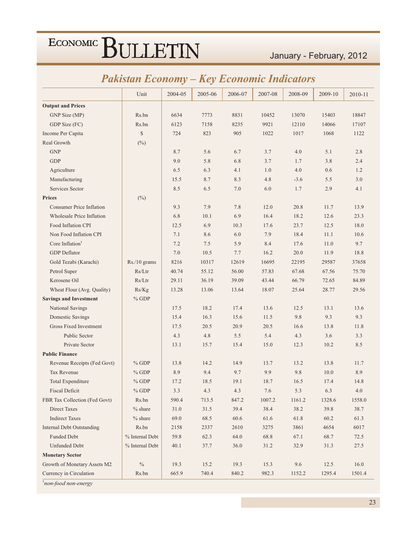### January - February, 2012

### **Pakistan Economy - Key Economic Indicators**

|                                  | Unit            | 2004-05 | 2005-06 | 2006-07 | 2007-08 | 2008-09 | 2009-10 | 2010-11 |
|----------------------------------|-----------------|---------|---------|---------|---------|---------|---------|---------|
| <b>Output and Prices</b>         |                 |         |         |         |         |         |         |         |
| GNP Size (MP)                    | Rs.bn           | 6634    | 7773    | 8831    | 10452   | 13070   | 15403   | 18847   |
| GDP Size (FC)                    | Rs.bn           | 6123    | 7158    | 8235    | 9921    | 12110   | 14066   | 17107   |
| Income Per Capita                | $\mathbb{S}$    | 724     | 823     | 905     | 1022    | 1017    | 1068    | 1122    |
| Real Growth                      | $(\%)$          |         |         |         |         |         |         |         |
| <b>GNP</b>                       |                 | 8.7     | 5.6     | 6.7     | 3.7     | 4.0     | 5.1     | 2.8     |
| <b>GDP</b>                       |                 | 9.0     | 5.8     | 6.8     | 3.7     | 1.7     | 3.8     | 2.4     |
| Agriculture                      |                 | 6.5     | 6.3     | 4.1     | 1.0     | 4.0     | 0.6     | 1.2     |
| Manufacturing                    |                 | 15.5    | 8.7     | 8.3     | 4.8     | $-3.6$  | 5.5     | 3.0     |
| Services Sector                  |                 | 8.5     | 6.5     | 7.0     | 6.0     | 1.7     | 2.9     | 4.1     |
| <b>Prices</b>                    | $(\%)$          |         |         |         |         |         |         |         |
| <b>Consumer Price Inflation</b>  |                 | 9.3     | 7.9     | 7.8     | 12.0    | 20.8    | 11.7    | 13.9    |
| <b>Wholesale Price Inflation</b> |                 | 6.8     | 10.1    | 6.9     | 16.4    | 18.2    | 12.6    | 23.3    |
| Food Inflation CPI               |                 | 12.5    | 6.9     | 10.3    | 17.6    | 23.7    | 12.5    | 18.0    |
| Non Food Inflation CPI           |                 | 7.1     | 8.6     | 6.0     | 7.9     | 18.4    | 11.1    | 10.6    |
| Core Inflation <sup>†</sup>      |                 | 7.2     | 7.5     | 5.9     | 8.4     | 17.6    | 11.0    | 9.7     |
| <b>GDP</b> Deflator              |                 | 7.0     | 10.5    | 7.7     | 16.2    | 20.0    | 11.9    | 18.8    |
| Gold Tezabi (Karachi)            | Rs./10 grams    | 8216    | 10317   | 12619   | 16695   | 22195   | 29587   | 37658   |
| Petrol Super                     | Rs/Ltr          | 40.74   | 55.12   | 56.00   | 57.83   | 67.68   | 67.56   | 75.70   |
| Kerosene Oil                     | Rs/Ltr          | 29.11   | 36.19   | 39.09   | 43.44   | 66.79   | 72.65   | 84.89   |
| Wheat Flour (Avg. Quality)       | Rs/Kg           | 13.28   | 13.06   | 13.64   | 18.07   | 25.64   | 28.77   | 29.56   |
| <b>Savings and Investment</b>    | $%$ GDP         |         |         |         |         |         |         |         |
| National Savings                 |                 | 17.5    | 18.2    | 17.4    | 13.6    | 12.5    | 13.1    | 13.6    |
| Domestic Savings                 |                 | 15.4    | 16.3    | 15.6    | 11.5    | 9.8     | 9.3     | 9.3     |
| Gross Fixed Investment           |                 | 17.5    | 20.5    | 20.9    | 20.5    | 16.6    | 13.8    | 11.8    |
| Public Sector                    |                 | 4.3     | 4.8     | 5.5     | 5.4     | 4.3     | 3.6     | 3.3     |
| Private Sector                   |                 | 13.1    | 15.7    | 15.4    | 15.0    | 12.3    | 10.2    | 8.5     |
| <b>Public Finance</b>            |                 |         |         |         |         |         |         |         |
| Revenue Receipts (Fed Govt)      | $%$ GDP         | 13.8    | 14.2    | 14.9    | 13.7    | 13.2    | 13.8    | 11.7    |
| <b>Tax Revenue</b>               | $%$ GDP         | 8.9     | 9.4     | 9.7     | 9.9     | 9.8     | 10.0    | 8.9     |
| Total Expenditure                | $%$ GDP         | 17.2    | 18.5    | 19.1    | 18.7    | 16.5    | 17.4    | 14.8    |
| <b>Fiscal Deficit</b>            | $\%$ GDP        | 3.3     | 4.3     | 4.3     | 7.6     | 5.3     | 6.3     | 4.0     |
| FBR Tax Collection (Fed Govt)    | Rs.bn           | 590.4   | 713.5   | 847.2   | 1007.2  | 1161.2  | 1328.6  | 1558.0  |
| <b>Direct Taxes</b>              | $%$ share       | 31.0    | 31.5    | 39.4    | 38.4    | 38.2    | 39.8    | 38.7    |
| <b>Indirect Taxes</b>            | $%$ share       | 69.0    | 68.5    | 60.6    | 61.6    | 61.8    | 60.2    | 61.3    |
| <b>Internal Debt Outstanding</b> | Rs.bn           | 2158    | 2337    | 2610    | 3275    | 3861    | 4654    | 6017    |
| Funded Debt                      | % Internal Debt | 59.8    | 62.3    | 64.0    | 68.8    | 67.1    | 68.7    | 72.5    |
| <b>Unfunded Debt</b>             | % Internal Debt | 40.1    | 37.7    | 36.0    | 31.2    | 32.9    | 31.3    | 27.5    |
| <b>Monetary Sector</b>           |                 |         |         |         |         |         |         |         |
| Growth of Monetary Assets M2     | $\%$            | 19.3    | 15.2    | 19.3    | 15.3    | 9.6     | 12.5    | 16.0    |
| Currency in Circulation          | Rs.bn           | 665.9   | 740.4   | 840.2   | 982.3   | 1152.2  | 1295.4  | 1501.4  |

*i*non-food non-energy